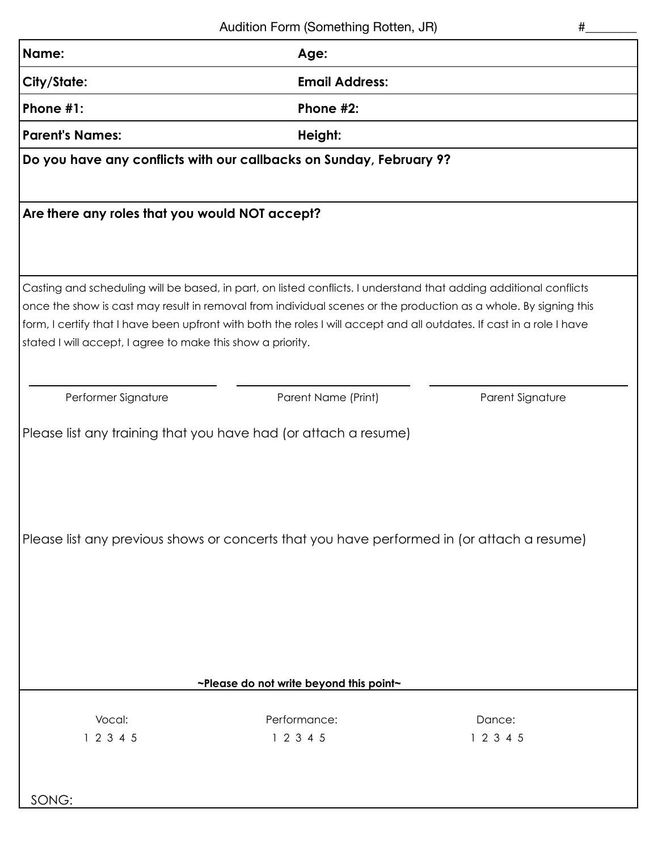| Name:                                                                                                                                                         | Age:                                                                                                                                                                                                                                                                                                                                                           |                     |  |  |  |  |
|---------------------------------------------------------------------------------------------------------------------------------------------------------------|----------------------------------------------------------------------------------------------------------------------------------------------------------------------------------------------------------------------------------------------------------------------------------------------------------------------------------------------------------------|---------------------|--|--|--|--|
| <b>City/State:</b>                                                                                                                                            | <b>Email Address:</b>                                                                                                                                                                                                                                                                                                                                          |                     |  |  |  |  |
| Phone #1:                                                                                                                                                     | Phone #2:                                                                                                                                                                                                                                                                                                                                                      |                     |  |  |  |  |
| <b>Parent's Names:</b>                                                                                                                                        | Height:                                                                                                                                                                                                                                                                                                                                                        |                     |  |  |  |  |
|                                                                                                                                                               | Do you have any conflicts with our callbacks on Sunday, February 9?                                                                                                                                                                                                                                                                                            |                     |  |  |  |  |
| Are there any roles that you would NOT accept?                                                                                                                |                                                                                                                                                                                                                                                                                                                                                                |                     |  |  |  |  |
| stated I will accept, I agree to make this show a priority.                                                                                                   | Casting and scheduling will be based, in part, on listed conflicts. I understand that adding additional conflicts<br>once the show is cast may result in removal from individual scenes or the production as a whole. By signing this<br>form, I certify that I have been upfront with both the roles I will accept and all outdates. If cast in a role I have |                     |  |  |  |  |
| Performer Signature                                                                                                                                           | Parent Name (Print)                                                                                                                                                                                                                                                                                                                                            | Parent Signature    |  |  |  |  |
| Please list any training that you have had (or attach a resume)<br>Please list any previous shows or concerts that you have performed in (or attach a resume) |                                                                                                                                                                                                                                                                                                                                                                |                     |  |  |  |  |
| ~Please do not write beyond this point~                                                                                                                       |                                                                                                                                                                                                                                                                                                                                                                |                     |  |  |  |  |
| Vocal:<br>1 2 3 4 5<br>SONG:                                                                                                                                  | Performance:<br>1 2 3 4 5                                                                                                                                                                                                                                                                                                                                      | Dance:<br>1 2 3 4 5 |  |  |  |  |